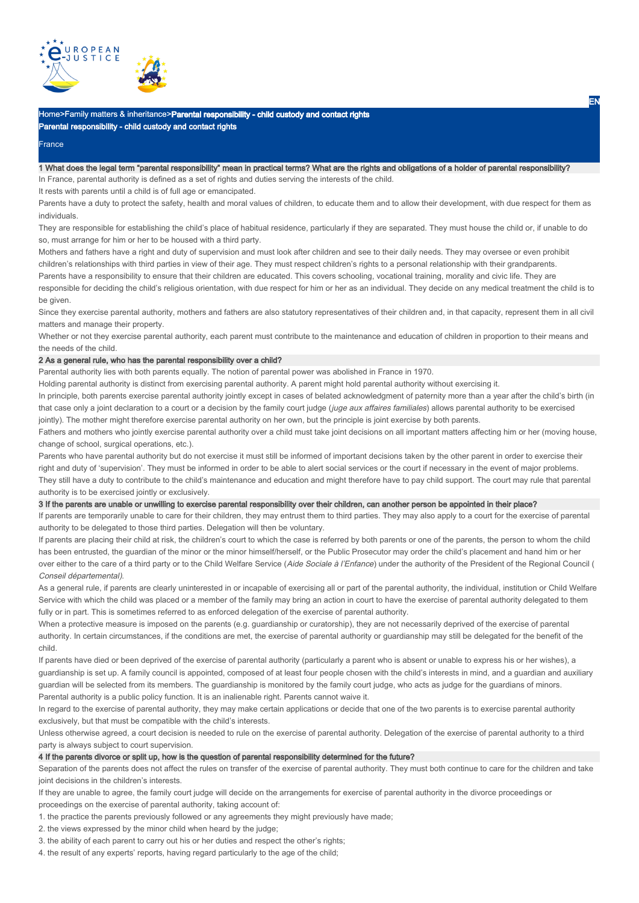

## Home>Family matters & inheritance>Parental responsibility - child custody and contact rights Parental responsibility - child custody and contact rights

#### **France**

# 1 What does the legal term "parental responsibility" mean in practical terms? What are the rights and obligations of a holder of parental responsibility?

In France, parental authority is defined as a set of rights and duties serving the interests of the child.

It rests with parents until a child is of full age or emancipated.

Parents have a duty to protect the safety, health and moral values of children, to educate them and to allow their development, with due respect for them as individuals.

They are responsible for establishing the child's place of habitual residence, particularly if they are separated. They must house the child or, if unable to do so, must arrange for him or her to be housed with a third party.

Mothers and fathers have a right and duty of supervision and must look after children and see to their daily needs. They may oversee or even prohibit children's relationships with third parties in view of their age. They must respect children's rights to a personal relationship with their grandparents. Parents have a responsibility to ensure that their children are educated. This covers schooling, vocational training, morality and civic life. They are responsible for deciding the child's religious orientation, with due respect for him or her as an individual. They decide on any medical treatment the child is to be given.

Since they exercise parental authority, mothers and fathers are also statutory representatives of their children and, in that capacity, represent them in all civil matters and manage their property.

Whether or not they exercise parental authority, each parent must contribute to the maintenance and education of children in proportion to their means and the needs of the child.

## 2 As a general rule, who has the parental responsibility over a child?

Parental authority lies with both parents equally. The notion of parental power was abolished in France in 1970.

Holding parental authority is distinct from exercising parental authority. A parent might hold parental authority without exercising it.

In principle, both parents exercise parental authority jointly except in cases of belated acknowledgment of paternity more than a year after the child's birth (in that case only a joint declaration to a court or a decision by the family court judge (juge aux affaires familiales) allows parental authority to be exercised jointly). The mother might therefore exercise parental authority on her own, but the principle is joint exercise by both parents.

Fathers and mothers who jointly exercise parental authority over a child must take joint decisions on all important matters affecting him or her (moving house, change of school, surgical operations, etc.).

Parents who have parental authority but do not exercise it must still be informed of important decisions taken by the other parent in order to exercise their right and duty of 'supervision'. They must be informed in order to be able to alert social services or the court if necessary in the event of major problems. They still have a duty to contribute to the child's maintenance and education and might therefore have to pay child support. The court may rule that parental authority is to be exercised jointly or exclusively.

### 3 If the parents are unable or unwilling to exercise parental responsibility over their children, can another person be appointed in their place?

If parents are temporarily unable to care for their children, they may entrust them to third parties. They may also apply to a court for the exercise of parental authority to be delegated to those third parties. Delegation will then be voluntary.

If parents are placing their child at risk, the children's court to which the case is referred by both parents or one of the parents, the person to whom the child has been entrusted, the guardian of the minor or the minor himself/herself, or the Public Prosecutor may order the child's placement and hand him or her over either to the care of a third party or to the Child Welfare Service (Aide Sociale à l'Enfance) under the authority of the President of the Regional Council ( Conseil départemental).

As a general rule, if parents are clearly uninterested in or incapable of exercising all or part of the parental authority, the individual, institution or Child Welfare Service with which the child was placed or a member of the family may bring an action in court to have the exercise of parental authority delegated to them fully or in part. This is sometimes referred to as enforced delegation of the exercise of parental authority.

When a protective measure is imposed on the parents (e.g. guardianship or curatorship), they are not necessarily deprived of the exercise of parental authority. In certain circumstances, if the conditions are met, the exercise of parental authority or guardianship may still be delegated for the benefit of the child.

If parents have died or been deprived of the exercise of parental authority (particularly a parent who is absent or unable to express his or her wishes), a guardianship is set up. A family council is appointed, composed of at least four people chosen with the child's interests in mind, and a guardian and auxiliary guardian will be selected from its members. The guardianship is monitored by the family court judge, who acts as judge for the guardians of minors. Parental authority is a public policy function. It is an inalienable right. Parents cannot waive it.

In regard to the exercise of parental authority, they may make certain applications or decide that one of the two parents is to exercise parental authority exclusively, but that must be compatible with the child's interests.

Unless otherwise agreed, a court decision is needed to rule on the exercise of parental authority. Delegation of the exercise of parental authority to a third party is always subject to court supervision.

4 If the parents divorce or split up, how is the question of parental responsibility determined for the future?

Separation of the parents does not affect the rules on transfer of the exercise of parental authority. They must both continue to care for the children and take joint decisions in the children's interests.

If they are unable to agree, the family court judge will decide on the arrangements for exercise of parental authority in the divorce proceedings or proceedings on the exercise of parental authority, taking account of:

1. the practice the parents previously followed or any agreements they might previously have made;

2. the views expressed by the minor child when heard by the judge;

3. the ability of each parent to carry out his or her duties and respect the other's rights;

4. the result of any experts' reports, having regard particularly to the age of the child;

EN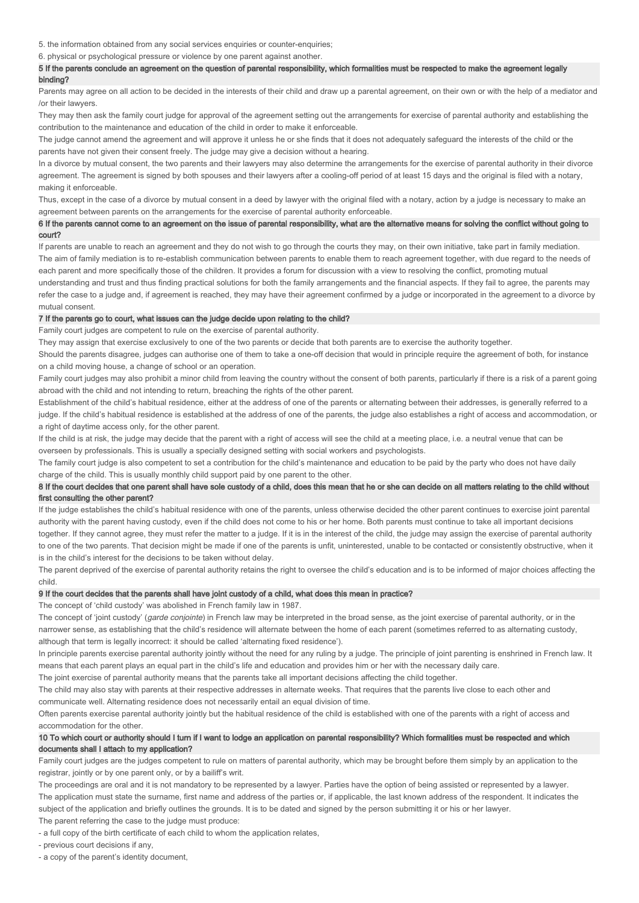5. the information obtained from any social services enquiries or counter-enquiries;

6. physical or psychological pressure or violence by one parent against another.

## 5 If the parents conclude an agreement on the question of parental responsibility, which formalities must be respected to make the agreement legally binding?

Parents may agree on all action to be decided in the interests of their child and draw up a parental agreement, on their own or with the help of a mediator and /or their lawyers.

They may then ask the family court judge for approval of the agreement setting out the arrangements for exercise of parental authority and establishing the contribution to the maintenance and education of the child in order to make it enforceable.

The judge cannot amend the agreement and will approve it unless he or she finds that it does not adequately safeguard the interests of the child or the parents have not given their consent freely. The judge may give a decision without a hearing.

In a divorce by mutual consent, the two parents and their lawyers may also determine the arrangements for the exercise of parental authority in their divorce agreement. The agreement is signed by both spouses and their lawyers after a cooling-off period of at least 15 days and the original is filed with a notary, making it enforceable.

Thus, except in the case of a divorce by mutual consent in a deed by lawyer with the original filed with a notary, action by a judge is necessary to make an agreement between parents on the arrangements for the exercise of parental authority enforceable.

## 6 If the parents cannot come to an agreement on the issue of parental responsibility, what are the alternative means for solving the conflict without going to court?

If parents are unable to reach an agreement and they do not wish to go through the courts they may, on their own initiative, take part in family mediation. The aim of family mediation is to re-establish communication between parents to enable them to reach agreement together, with due regard to the needs of each parent and more specifically those of the children. It provides a forum for discussion with a view to resolving the conflict, promoting mutual understanding and trust and thus finding practical solutions for both the family arrangements and the financial aspects. If they fail to agree, the parents may refer the case to a judge and, if agreement is reached, they may have their agreement confirmed by a judge or incorporated in the agreement to a divorce by mutual consent.

## 7 If the parents go to court, what issues can the judge decide upon relating to the child?

Family court judges are competent to rule on the exercise of parental authority.

They may assign that exercise exclusively to one of the two parents or decide that both parents are to exercise the authority together.

Should the parents disagree, judges can authorise one of them to take a one-off decision that would in principle require the agreement of both, for instance on a child moving house, a change of school or an operation.

Family court judges may also prohibit a minor child from leaving the country without the consent of both parents, particularly if there is a risk of a parent going abroad with the child and not intending to return, breaching the rights of the other parent.

Establishment of the child's habitual residence, either at the address of one of the parents or alternating between their addresses, is generally referred to a judge. If the child's habitual residence is established at the address of one of the parents, the judge also establishes a right of access and accommodation, or a right of daytime access only, for the other parent.

If the child is at risk, the judge may decide that the parent with a right of access will see the child at a meeting place, i.e. a neutral venue that can be overseen by professionals. This is usually a specially designed setting with social workers and psychologists.

The family court judge is also competent to set a contribution for the child's maintenance and education to be paid by the party who does not have daily charge of the child. This is usually monthly child support paid by one parent to the other.

## 8 If the court decides that one parent shall have sole custody of a child, does this mean that he or she can decide on all matters relating to the child without first consulting the other parent?

If the judge establishes the child's habitual residence with one of the parents, unless otherwise decided the other parent continues to exercise joint parental authority with the parent having custody, even if the child does not come to his or her home. Both parents must continue to take all important decisions together. If they cannot agree, they must refer the matter to a judge. If it is in the interest of the child, the judge may assign the exercise of parental authority to one of the two parents. That decision might be made if one of the parents is unfit, uninterested, unable to be contacted or consistently obstructive, when it is in the child's interest for the decisions to be taken without delay.

The parent deprived of the exercise of parental authority retains the right to oversee the child's education and is to be informed of major choices affecting the child.

## 9 If the court decides that the parents shall have joint custody of a child, what does this mean in practice?

The concept of 'child custody' was abolished in French family law in 1987.

The concept of 'joint custody' (garde conjointe) in French law may be interpreted in the broad sense, as the joint exercise of parental authority, or in the narrower sense, as establishing that the child's residence will alternate between the home of each parent (sometimes referred to as alternating custody, although that term is legally incorrect: it should be called 'alternating fixed residence').

In principle parents exercise parental authority jointly without the need for any ruling by a judge. The principle of joint parenting is enshrined in French law. It means that each parent plays an equal part in the child's life and education and provides him or her with the necessary daily care.

The joint exercise of parental authority means that the parents take all important decisions affecting the child together.

The child may also stay with parents at their respective addresses in alternate weeks. That requires that the parents live close to each other and communicate well. Alternating residence does not necessarily entail an equal division of time.

Often parents exercise parental authority jointly but the habitual residence of the child is established with one of the parents with a right of access and accommodation for the other.

## 10 To which court or authority should I turn if I want to lodge an application on parental responsibility? Which formalities must be respected and which documents shall I attach to my application?

Family court judges are the judges competent to rule on matters of parental authority, which may be brought before them simply by an application to the registrar, jointly or by one parent only, or by a bailiff's writ.

The proceedings are oral and it is not mandatory to be represented by a lawyer. Parties have the option of being assisted or represented by a lawyer.

The application must state the surname, first name and address of the parties or, if applicable, the last known address of the respondent. It indicates the subject of the application and briefly outlines the grounds. It is to be dated and signed by the person submitting it or his or her lawyer.

The parent referring the case to the judge must produce:

- a full copy of the birth certificate of each child to whom the application relates,

- previous court decisions if any,

- a copy of the parent's identity document,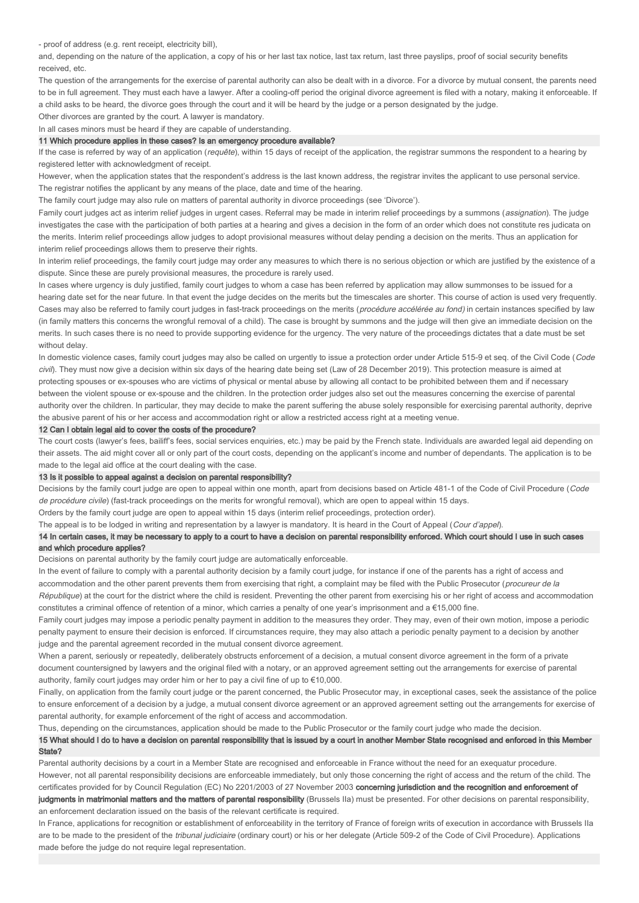- proof of address (e.g. rent receipt, electricity bill),

and, depending on the nature of the application, a copy of his or her last tax notice, last tax return, last three payslips, proof of social security benefits received, etc.

The question of the arrangements for the exercise of parental authority can also be dealt with in a divorce. For a divorce by mutual consent, the parents need to be in full agreement. They must each have a lawyer. After a cooling-off period the original divorce agreement is filed with a notary, making it enforceable. If a child asks to be heard, the divorce goes through the court and it will be heard by the judge or a person designated by the judge.

Other divorces are granted by the court. A lawyer is mandatory.

In all cases minors must be heard if they are capable of understanding.

### 11 Which procedure applies in these cases? Is an emergency procedure available?

If the case is referred by way of an application (requête), within 15 days of receipt of the application, the registrar summons the respondent to a hearing by registered letter with acknowledgment of receipt.

However, when the application states that the respondent's address is the last known address, the registrar invites the applicant to use personal service. The registrar notifies the applicant by any means of the place, date and time of the hearing.

The family court judge may also rule on matters of parental authority in divorce proceedings (see 'Divorce').

Family court judges act as interim relief judges in urgent cases. Referral may be made in interim relief proceedings by a summons (assignation). The judge investigates the case with the participation of both parties at a hearing and gives a decision in the form of an order which does not constitute res judicata on the merits. Interim relief proceedings allow judges to adopt provisional measures without delay pending a decision on the merits. Thus an application for interim relief proceedings allows them to preserve their rights.

In interim relief proceedings, the family court judge may order any measures to which there is no serious objection or which are justified by the existence of a dispute. Since these are purely provisional measures, the procedure is rarely used.

In cases where urgency is duly justified, family court judges to whom a case has been referred by application may allow summonses to be issued for a hearing date set for the near future. In that event the judge decides on the merits but the timescales are shorter. This course of action is used very frequently. Cases may also be referred to family court judges in fast-track proceedings on the merits (procédure accélérée au fond) in certain instances specified by law (in family matters this concerns the wrongful removal of a child). The case is brought by summons and the judge will then give an immediate decision on the merits. In such cases there is no need to provide supporting evidence for the urgency. The very nature of the proceedings dictates that a date must be set without delay.

In domestic violence cases, family court judges may also be called on urgently to issue a protection order under Article 515-9 et seq. of the Civil Code (Code civil). They must now give a decision within six days of the hearing date being set (Law of 28 December 2019). This protection measure is aimed at protecting spouses or ex-spouses who are victims of physical or mental abuse by allowing all contact to be prohibited between them and if necessary between the violent spouse or ex-spouse and the children. In the protection order judges also set out the measures concerning the exercise of parental authority over the children. In particular, they may decide to make the parent suffering the abuse solely responsible for exercising parental authority, deprive the abusive parent of his or her access and accommodation right or allow a restricted access right at a meeting venue.

### 12 Can I obtain legal aid to cover the costs of the procedure?

The court costs (lawyer's fees, bailiff's fees, social services enquiries, etc.) may be paid by the French state. Individuals are awarded legal aid depending on their assets. The aid might cover all or only part of the court costs, depending on the applicant's income and number of dependants. The application is to be made to the legal aid office at the court dealing with the case.

#### 13 Is it possible to appeal against a decision on parental responsibility?

Decisions by the family court judge are open to appeal within one month, apart from decisions based on Article 481-1 of the Code of Civil Procedure (Code de procédure civile) (fast-track proceedings on the merits for wrongful removal), which are open to appeal within 15 days.

Orders by the family court judge are open to appeal within 15 days (interim relief proceedings, protection order).

The appeal is to be lodged in writing and representation by a lawyer is mandatory. It is heard in the Court of Appeal (Cour d'appel).

## 14 In certain cases, it may be necessary to apply to a court to have a decision on parental responsibility enforced. Which court should I use in such cases and which procedure applies?

Decisions on parental authority by the family court judge are automatically enforceable.

In the event of failure to comply with a parental authority decision by a family court judge, for instance if one of the parents has a right of access and accommodation and the other parent prevents them from exercising that right, a complaint may be filed with the Public Prosecutor (procureur de la République) at the court for the district where the child is resident. Preventing the other parent from exercising his or her right of access and accommodation constitutes a criminal offence of retention of a minor, which carries a penalty of one year's imprisonment and a €15,000 fine.

Family court judges may impose a periodic penalty payment in addition to the measures they order. They may, even of their own motion, impose a periodic penalty payment to ensure their decision is enforced. If circumstances require, they may also attach a periodic penalty payment to a decision by another judge and the parental agreement recorded in the mutual consent divorce agreement.

When a parent, seriously or repeatedly, deliberately obstructs enforcement of a decision, a mutual consent divorce agreement in the form of a private document countersigned by lawyers and the original filed with a notary, or an approved agreement setting out the arrangements for exercise of parental authority, family court judges may order him or her to pay a civil fine of up to €10,000.

Finally, on application from the family court judge or the parent concerned, the Public Prosecutor may, in exceptional cases, seek the assistance of the police to ensure enforcement of a decision by a judge, a mutual consent divorce agreement or an approved agreement setting out the arrangements for exercise of parental authority, for example enforcement of the right of access and accommodation.

Thus, depending on the circumstances, application should be made to the Public Prosecutor or the family court judge who made the decision. 15 What should I do to have a decision on parental responsibility that is issued by a court in another Member State recognised and enforced in this Member State?

Parental authority decisions by a court in a Member State are recognised and enforceable in France without the need for an exequatur procedure. However, not all parental responsibility decisions are enforceable immediately, but only those concerning the right of access and the return of the child. The certificates provided for by Council Regulation (EC) No 2201/2003 of 27 November 2003 concerning jurisdiction and the recognition and enforcement of

judgments in matrimonial matters and the matters of parental responsibility (Brussels IIa) must be presented. For other decisions on parental responsibility, an enforcement declaration issued on the basis of the relevant certificate is required.

In France, applications for recognition or establishment of enforceability in the territory of France of foreign writs of execution in accordance with Brussels IIa are to be made to the president of the tribunal judiciaire (ordinary court) or his or her delegate (Article 509-2 of the Code of Civil Procedure). Applications made before the judge do not require legal representation.